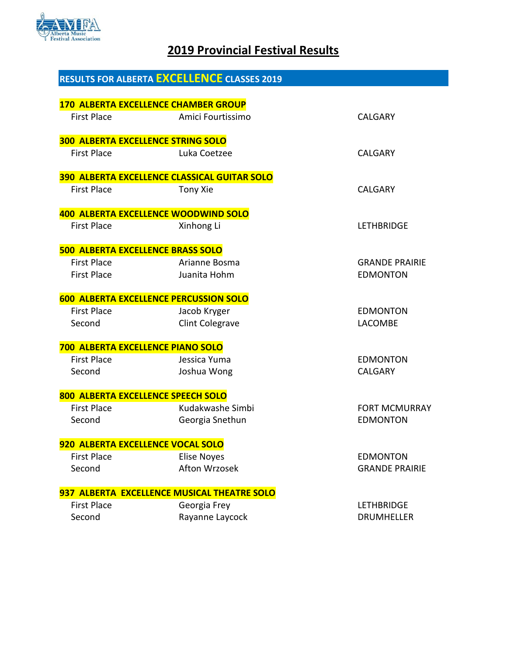

# **2019 Provincial Festival Results**

|                                          | <b>RESULTS FOR ALBERTA EXCELLENCE CLASSES 2019</b>               |                       |
|------------------------------------------|------------------------------------------------------------------|-----------------------|
|                                          |                                                                  |                       |
| <b>First Place</b>                       | <b>170 ALBERTA EXCELLENCE CHAMBER GROUP</b><br>Amici Fourtissimo | <b>CALGARY</b>        |
|                                          |                                                                  |                       |
|                                          | <b>300 ALBERTA EXCELLENCE STRING SOLO</b>                        |                       |
| <b>First Place</b>                       | Luka Coetzee                                                     | CALGARY               |
|                                          |                                                                  |                       |
|                                          | <b>390 ALBERTA EXCELLENCE CLASSICAL GUITAR SOLO</b>              |                       |
| <b>First Place</b>                       | Tony Xie                                                         | <b>CALGARY</b>        |
|                                          | <b>400 ALBERTA EXCELLENCE WOODWIND SOLO</b>                      |                       |
| <b>First Place</b>                       | Xinhong Li                                                       | <b>LETHBRIDGE</b>     |
|                                          |                                                                  |                       |
| <b>500 ALBERTA EXCELLENCE BRASS SOLO</b> |                                                                  |                       |
| <b>First Place</b>                       | Arianne Bosma                                                    | <b>GRANDE PRAIRIE</b> |
| <b>First Place</b>                       | Juanita Hohm                                                     | <b>EDMONTON</b>       |
|                                          | <b>600 ALBERTA EXCELLENCE PERCUSSION SOLO</b>                    |                       |
| <b>First Place</b>                       | Jacob Kryger                                                     | <b>EDMONTON</b>       |
| Second                                   | <b>Clint Colegrave</b>                                           | <b>LACOMBE</b>        |
|                                          |                                                                  |                       |
| 700 ALBERTA EXCELLENCE PIANO SOLO        |                                                                  |                       |
| <b>First Place</b>                       | Jessica Yuma                                                     | <b>EDMONTON</b>       |
| Second                                   | Joshua Wong                                                      | <b>CALGARY</b>        |
|                                          | 800 ALBERTA EXCELLENCE SPEECH SOLO                               |                       |
| <b>First Place</b>                       | Kudakwashe Simbi                                                 | <b>FORT MCMURRAY</b>  |
| Second                                   | Georgia Snethun                                                  | <b>EDMONTON</b>       |
|                                          |                                                                  |                       |
| 920 ALBERTA EXCELLENCE VOCAL SOLO        |                                                                  |                       |
| <b>First Place</b>                       | <b>Elise Noyes</b>                                               | <b>EDMONTON</b>       |
| Second                                   | Afton Wrzosek                                                    | <b>GRANDE PRAIRIE</b> |
|                                          | 937 ALBERTA EXCELLENCE MUSICAL THEATRE SOLO                      |                       |
| <b>First Place</b>                       | Georgia Frey                                                     | <b>LETHBRIDGE</b>     |
| Second                                   | Rayanne Laycock                                                  | <b>DRUMHELLER</b>     |
|                                          |                                                                  |                       |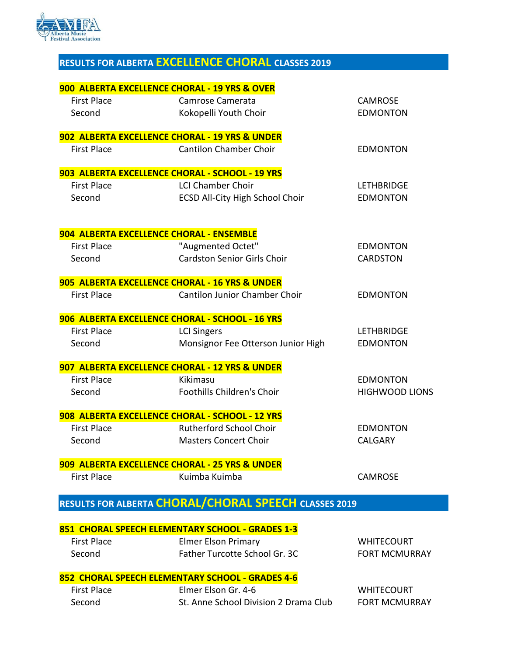

# **RESULTS FOR ALBERTA EXCELLENCE CHORAL CLASSES 2019**

|                    | 900 ALBERTA EXCELLENCE CHORAL - 19 YRS & OVER         |                       |
|--------------------|-------------------------------------------------------|-----------------------|
| <b>First Place</b> | Camrose Camerata                                      | <b>CAMROSE</b>        |
| Second             | Kokopelli Youth Choir                                 | <b>EDMONTON</b>       |
|                    | 902 ALBERTA EXCELLENCE CHORAL - 19 YRS & UNDER        |                       |
| <b>First Place</b> | <b>Cantilon Chamber Choir</b>                         | <b>EDMONTON</b>       |
|                    | 903 ALBERTA EXCELLENCE CHORAL - SCHOOL - 19 YRS       |                       |
| <b>First Place</b> | <b>LCI Chamber Choir</b>                              | <b>LETHBRIDGE</b>     |
| Second             | <b>ECSD All-City High School Choir</b>                | <b>EDMONTON</b>       |
|                    | 904 ALBERTA EXCELLENCE CHORAL - ENSEMBLE              |                       |
| <b>First Place</b> | "Augmented Octet"                                     | <b>EDMONTON</b>       |
| Second             | <b>Cardston Senior Girls Choir</b>                    | <b>CARDSTON</b>       |
|                    | 905 ALBERTA EXCELLENCE CHORAL - 16 YRS & UNDER        |                       |
| <b>First Place</b> | <b>Cantilon Junior Chamber Choir</b>                  | <b>EDMONTON</b>       |
|                    | 906 ALBERTA EXCELLENCE CHORAL - SCHOOL - 16 YRS       |                       |
| <b>First Place</b> | <b>LCI Singers</b>                                    | <b>LETHBRIDGE</b>     |
| Second             | Monsignor Fee Otterson Junior High                    | <b>EDMONTON</b>       |
|                    | 907 ALBERTA EXCELLENCE CHORAL - 12 YRS & UNDER        |                       |
| <b>First Place</b> | Kikimasu                                              | <b>EDMONTON</b>       |
| Second             | <b>Foothills Children's Choir</b>                     | <b>HIGHWOOD LIONS</b> |
|                    | 908 ALBERTA EXCELLENCE CHORAL - SCHOOL - 12 YRS       |                       |
| <b>First Place</b> | <b>Rutherford School Choir</b>                        | <b>EDMONTON</b>       |
| Second             | <b>Masters Concert Choir</b>                          | <b>CALGARY</b>        |
|                    | 909 ALBERTA EXCELLENCE CHORAL - 25 YRS & UNDER        |                       |
| <b>First Place</b> | Kuimba Kuimba                                         | <b>CAMROSE</b>        |
|                    | RESULTS FOR ALBERTA CHORAL/CHORAL SPEECH CLASSES 2019 |                       |
|                    | 851 CHORAL SPEECH ELEMENTARY SCHOOL - GRADES 1-3      |                       |
| <b>First Place</b> | <b>Elmer Elson Primary</b>                            | <b>WHITECOURT</b>     |
| Second             | Father Turcotte School Gr. 3C                         | <b>FORT MCMURRAY</b>  |
|                    | 852 CHORAL SPEECH ELEMENTARY SCHOOL - GRADES 4-6      |                       |
| <b>First Place</b> | Elmer Elson Gr. 4-6                                   | <b>WHITECOURT</b>     |

Second St. Anne School Division 2 Drama Club FORT MCMURRAY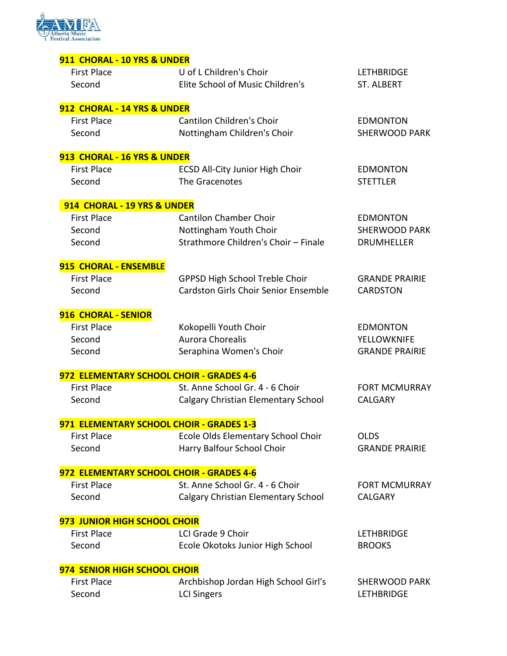

| 911 CHORAL - 10 YRS & UNDER              |                                             |                       |
|------------------------------------------|---------------------------------------------|-----------------------|
| <b>First Place</b>                       | U of L Children's Choir                     | <b>LETHBRIDGE</b>     |
| Second                                   | Elite School of Music Children's            | <b>ST. ALBERT</b>     |
|                                          |                                             |                       |
| 912 CHORAL - 14 YRS & UNDER              |                                             |                       |
| <b>First Place</b>                       | <b>Cantilon Children's Choir</b>            | <b>EDMONTON</b>       |
| Second                                   | Nottingham Children's Choir                 | <b>SHERWOOD PARK</b>  |
| 913 CHORAL - 16 YRS & UNDER              |                                             |                       |
| <b>First Place</b>                       | <b>ECSD All-City Junior High Choir</b>      | <b>EDMONTON</b>       |
| Second                                   | The Gracenotes                              | <b>STETTLER</b>       |
| 914 CHORAL - 19 YRS & UNDER              |                                             |                       |
| <b>First Place</b>                       | <b>Cantilon Chamber Choir</b>               | <b>EDMONTON</b>       |
| Second                                   | Nottingham Youth Choir                      | <b>SHERWOOD PARK</b>  |
| Second                                   | Strathmore Children's Choir - Finale        | <b>DRUMHELLER</b>     |
| 915 CHORAL - ENSEMBLE                    |                                             |                       |
| <b>First Place</b>                       | <b>GPPSD High School Treble Choir</b>       | <b>GRANDE PRAIRIE</b> |
| Second                                   | <b>Cardston Girls Choir Senior Ensemble</b> | <b>CARDSTON</b>       |
|                                          |                                             |                       |
| 916 CHORAL - SENIOR                      |                                             |                       |
| <b>First Place</b>                       | Kokopelli Youth Choir                       | <b>EDMONTON</b>       |
| Second                                   | <b>Aurora Chorealis</b>                     | <b>YELLOWKNIFE</b>    |
| Second                                   | Seraphina Women's Choir                     | <b>GRANDE PRAIRIE</b> |
| 972 ELEMENTARY SCHOOL CHOIR - GRADES 4-6 |                                             |                       |
| <b>First Place</b>                       | St. Anne School Gr. 4 - 6 Choir             | <b>FORT MCMURRAY</b>  |
| Second                                   | Calgary Christian Elementary School         | <b>CALGARY</b>        |
| 971 ELEMENTARY SCHOOL CHOIR - GRADES 1-3 |                                             |                       |
| <b>First Place</b>                       | Ecole Olds Elementary School Choir          | <b>OLDS</b>           |
| Second                                   | Harry Balfour School Choir                  | <b>GRANDE PRAIRIE</b> |
|                                          |                                             |                       |
| 972 ELEMENTARY SCHOOL CHOIR - GRADES 4-6 |                                             |                       |
| <b>First Place</b>                       | St. Anne School Gr. 4 - 6 Choir             | <b>FORT MCMURRAY</b>  |
| Second                                   | Calgary Christian Elementary School         | <b>CALGARY</b>        |
| 973 JUNIOR HIGH SCHOOL CHOIR             |                                             |                       |
| <b>First Place</b>                       | LCI Grade 9 Choir                           | <b>LETHBRIDGE</b>     |
| Second                                   | Ecole Okotoks Junior High School            | <b>BROOKS</b>         |
| 974 SENIOR HIGH SCHOOL CHOIR             |                                             |                       |
| <b>First Place</b>                       | Archbishop Jordan High School Girl's        | <b>SHERWOOD PARK</b>  |
| Second                                   | <b>LCI Singers</b>                          | <b>LETHBRIDGE</b>     |
|                                          |                                             |                       |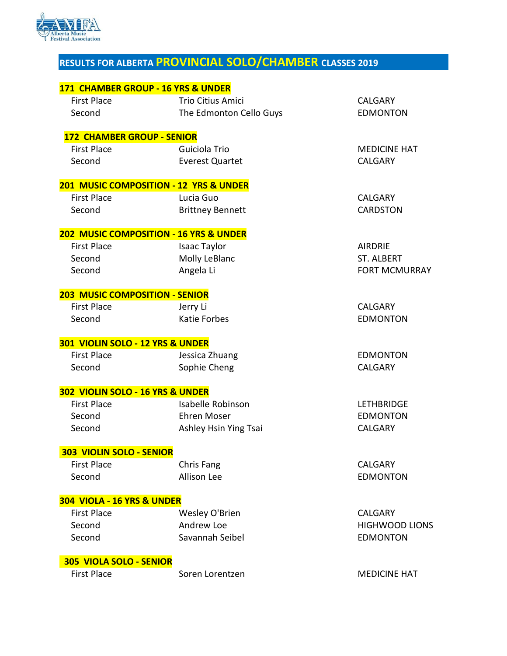

# **RESULTS FOR ALBERTA PROVINCIAL SOLO/CHAMBER CLASSES 2019**

|                                       | 171 CHAMBER GROUP - 16 YRS & UNDER                |                       |
|---------------------------------------|---------------------------------------------------|-----------------------|
| <b>First Place</b>                    | <b>Trio Citius Amici</b>                          | <b>CALGARY</b>        |
| Second                                | The Edmonton Cello Guys                           | <b>EDMONTON</b>       |
| <b>172 CHAMBER GROUP - SENIOR</b>     |                                                   |                       |
| <b>First Place</b>                    | Guiciola Trio                                     | <b>MEDICINE HAT</b>   |
| Second                                | <b>Everest Quartet</b>                            | <b>CALGARY</b>        |
|                                       | <b>201 MUSIC COMPOSITION - 12 YRS &amp; UNDER</b> |                       |
| <b>First Place</b>                    | Lucia Guo                                         | <b>CALGARY</b>        |
| Second                                | <b>Brittney Bennett</b>                           | <b>CARDSTON</b>       |
|                                       | <b>202 MUSIC COMPOSITION - 16 YRS &amp; UNDER</b> |                       |
| <b>First Place</b>                    | Isaac Taylor                                      | <b>AIRDRIE</b>        |
| Second                                | Molly LeBlanc                                     | <b>ST. ALBERT</b>     |
| Second                                | Angela Li                                         | <b>FORT MCMURRAY</b>  |
| <b>203 MUSIC COMPOSITION - SENIOR</b> |                                                   |                       |
| <b>First Place</b>                    | Jerry Li                                          | <b>CALGARY</b>        |
| Second                                | <b>Katie Forbes</b>                               | <b>EDMONTON</b>       |
| 301 VIOLIN SOLO - 12 YRS & UNDER      |                                                   |                       |
| <b>First Place</b>                    | Jessica Zhuang                                    | <b>EDMONTON</b>       |
| Second                                | Sophie Cheng                                      | <b>CALGARY</b>        |
| 302 VIOLIN SOLO - 16 YRS & UNDER      |                                                   |                       |
| <b>First Place</b>                    | Isabelle Robinson                                 | <b>LETHBRIDGE</b>     |
| Second                                | <b>Ehren Moser</b>                                | <b>EDMONTON</b>       |
| Second                                | Ashley Hsin Ying Tsai                             | <b>CALGARY</b>        |
| <b>303 VIOLIN SOLO - SENIOR</b>       |                                                   |                       |
| <b>First Place</b>                    | Chris Fang                                        | <b>CALGARY</b>        |
| Second                                | Allison Lee                                       | <b>EDMONTON</b>       |
| 304 VIOLA - 16 YRS & UNDER            |                                                   |                       |
| <b>First Place</b>                    | Wesley O'Brien                                    | <b>CALGARY</b>        |
| Second                                | Andrew Loe                                        | <b>HIGHWOOD LIONS</b> |
| Second                                | Savannah Seibel                                   | <b>EDMONTON</b>       |
| 305 VIOLA SOLO - SENIOR               |                                                   |                       |
| <b>First Place</b>                    | Soren Lorentzen                                   | <b>MEDICINE HAT</b>   |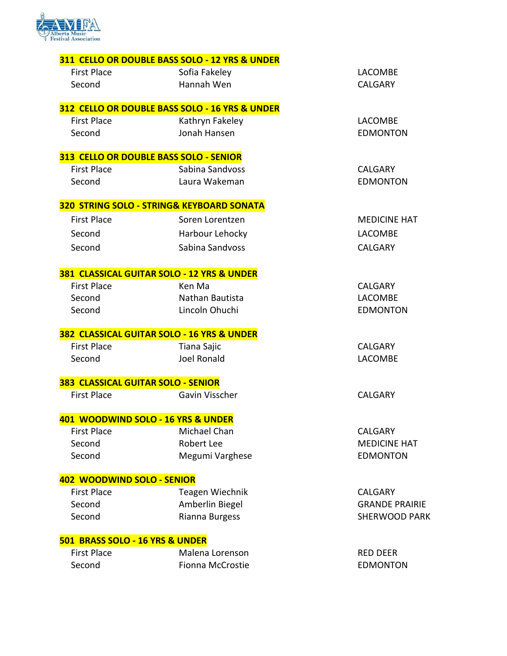

|                                           | 311 CELLO OR DOUBLE BASS SOLO - 12 YRS & UNDER |                       |
|-------------------------------------------|------------------------------------------------|-----------------------|
| <b>First Place</b>                        | Sofia Fakeley                                  | LACOMBE               |
| Second                                    | Hannah Wen                                     | <b>CALGARY</b>        |
|                                           | 312 CELLO OR DOUBLE BASS SOLO - 16 YRS & UNDER |                       |
| <b>First Place</b>                        | Kathryn Fakeley                                | <b>LACOMBE</b>        |
| Second                                    | Jonah Hansen                                   | <b>EDMONTON</b>       |
|                                           | 313 CELLO OR DOUBLE BASS SOLO - SENIOR         |                       |
| <b>First Place</b>                        | Sabina Sandvoss                                | <b>CALGARY</b>        |
| Second                                    | Laura Wakeman                                  | <b>EDMONTON</b>       |
|                                           | 320 STRING SOLO - STRING& KEYBOARD SONATA      |                       |
| <b>First Place</b>                        | Soren Lorentzen                                | <b>MEDICINE HAT</b>   |
| Second                                    | Harbour Lehocky                                | <b>LACOMBE</b>        |
| Second                                    | Sabina Sandvoss                                | <b>CALGARY</b>        |
|                                           | 381 CLASSICAL GUITAR SOLO - 12 YRS & UNDER     |                       |
| <b>First Place</b>                        | Ken Ma                                         | <b>CALGARY</b>        |
| Second                                    | Nathan Bautista                                | <b>LACOMBE</b>        |
| Second                                    | Lincoln Ohuchi                                 | <b>EDMONTON</b>       |
|                                           | 382 CLASSICAL GUITAR SOLO - 16 YRS & UNDER     |                       |
| <b>First Place</b>                        | Tiana Sajic                                    | <b>CALGARY</b>        |
| Second                                    | <b>Joel Ronald</b>                             | LACOMBE               |
| <b>383 CLASSICAL GUITAR SOLO - SENIOR</b> |                                                |                       |
| <b>First Place</b>                        | Gavin Visscher                                 | <b>CALGARY</b>        |
|                                           | 401 WOODWIND SOLO - 16 YRS & UNDER             |                       |
| <b>First Place</b>                        | Michael Chan                                   | <b>CALGARY</b>        |
| Second                                    | Robert Lee                                     | <b>MEDICINE HAT</b>   |
| Second                                    | Megumi Varghese                                | <b>EDMONTON</b>       |
| 402 WOODWIND SOLO - SENIOR                |                                                |                       |
| <b>First Place</b>                        | <b>Teagen Wiechnik</b>                         | <b>CALGARY</b>        |
| Second                                    | Amberlin Biegel                                | <b>GRANDE PRAIRIE</b> |
| Second                                    | Rianna Burgess                                 | <b>SHERWOOD PARK</b>  |
| 501 BRASS SOLO - 16 YRS & UNDER           |                                                |                       |
| <b>First Place</b>                        | Malena Lorenson                                | <b>RED DEER</b>       |
| Second                                    | Fionna McCrostie                               | <b>EDMONTON</b>       |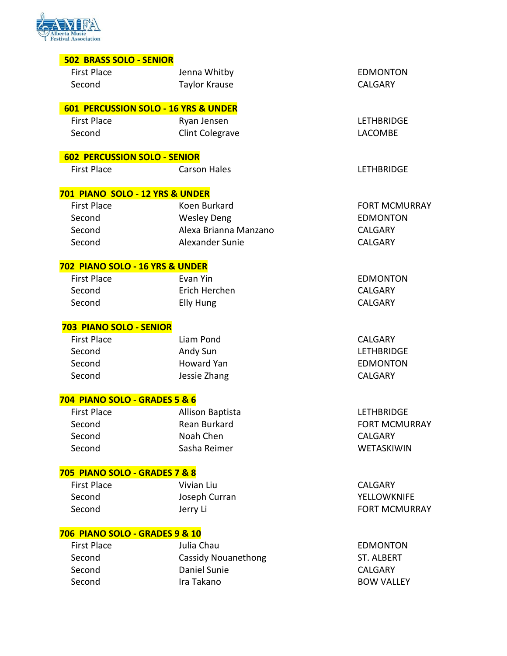

|  |  |  |  | <b>502 BRASS SOLO - SENIOR</b> |  |
|--|--|--|--|--------------------------------|--|
|--|--|--|--|--------------------------------|--|

| <b>First Place</b>                        | Jenna Whitby                         | <b>EDMONTON</b>      |
|-------------------------------------------|--------------------------------------|----------------------|
| Second                                    | <b>Taylor Krause</b>                 | <b>CALGARY</b>       |
|                                           |                                      |                      |
|                                           | 601 PERCUSSION SOLO - 16 YRS & UNDER |                      |
| <b>First Place</b>                        | Ryan Jensen                          | <b>LETHBRIDGE</b>    |
| Second                                    | <b>Clint Colegrave</b>               | <b>LACOMBE</b>       |
|                                           |                                      |                      |
| <b>602 PERCUSSION SOLO - SENIOR</b>       |                                      |                      |
| <b>First Place</b>                        | <b>Carson Hales</b>                  | <b>LETHBRIDGE</b>    |
|                                           |                                      |                      |
| 701 PIANO SOLO - 12 YRS & UNDER           |                                      |                      |
| <b>First Place</b>                        | Koen Burkard                         | <b>FORT MCMURRAY</b> |
| Second                                    | <b>Wesley Deng</b>                   | <b>EDMONTON</b>      |
| Second                                    | Alexa Brianna Manzano                | <b>CALGARY</b>       |
| Second                                    | Alexander Sunie                      | CALGARY              |
| 702 PIANO SOLO - 16 YRS & UNDER           |                                      |                      |
| <b>First Place</b>                        | Evan Yin                             | <b>EDMONTON</b>      |
| Second                                    | Erich Herchen                        | <b>CALGARY</b>       |
| Second                                    | <b>Elly Hung</b>                     | CALGARY              |
|                                           |                                      |                      |
| 703 PIANO SOLO - SENIOR                   |                                      |                      |
| <b>First Place</b>                        | Liam Pond                            | <b>CALGARY</b>       |
| Second                                    | Andy Sun                             | <b>LETHBRIDGE</b>    |
| Second                                    | <b>Howard Yan</b>                    | <b>EDMONTON</b>      |
| Second                                    | Jessie Zhang                         | <b>CALGARY</b>       |
|                                           |                                      |                      |
| 704 PIANO SOLO - GRADES 5 & 6             |                                      |                      |
| <b>First Place</b>                        | Allison Baptista                     | <b>LETHBRIDGE</b>    |
| Second                                    | Rean Burkard                         | <b>FORT MCMURRAY</b> |
| Second                                    | Noah Chen                            | CALGARY              |
| Second                                    | Sasha Reimer                         | WETASKIWIN           |
| 705 PIANO SOLO - GRADES 7 & 8             |                                      |                      |
| <b>First Place</b>                        | Vivian Liu                           | <b>CALGARY</b>       |
| Second                                    | Joseph Curran                        | <b>YELLOWKNIFE</b>   |
| Second                                    | Jerry Li                             | <b>FORT MCMURRAY</b> |
|                                           |                                      |                      |
| <b>706 PIANO SOLO - GRADES 9 &amp; 10</b> |                                      |                      |
| <b>First Place</b>                        | Julia Chau                           | <b>EDMONTON</b>      |
| Second                                    | <b>Cassidy Nouanethong</b>           | <b>ST. ALBERT</b>    |
| Second                                    | Daniel Sunie                         | CALGARY              |
| Second                                    | Ira Takano                           | <b>BOW VALLEY</b>    |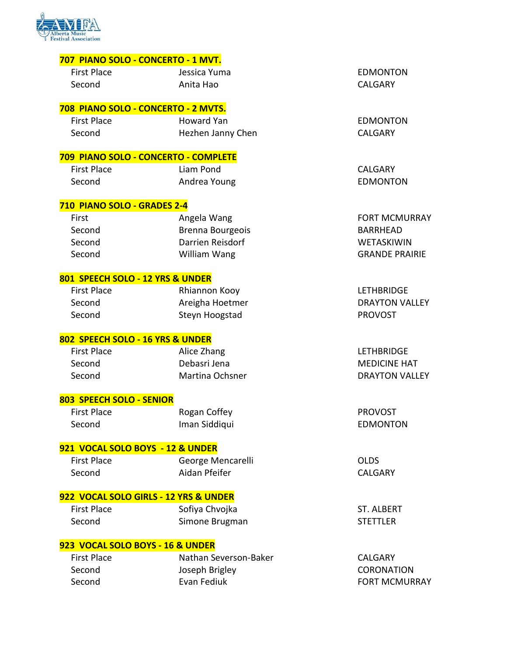

| 707 PIANO SOLO - CONCERTO - 1 MVT.  |                                      |                       |
|-------------------------------------|--------------------------------------|-----------------------|
| <b>First Place</b>                  | Jessica Yuma                         | <b>EDMONTON</b>       |
| Second                              | Anita Hao                            | <b>CALGARY</b>        |
| 708 PIANO SOLO - CONCERTO - 2 MVTS. |                                      |                       |
| <b>First Place</b>                  | <b>Howard Yan</b>                    | <b>EDMONTON</b>       |
| Second                              | Hezhen Janny Chen                    | <b>CALGARY</b>        |
|                                     | 709 PIANO SOLO - CONCERTO - COMPLETE |                       |
| <b>First Place</b>                  | Liam Pond                            | <b>CALGARY</b>        |
| Second                              | Andrea Young                         | <b>EDMONTON</b>       |
| 710 PIANO SOLO - GRADES 2-4         |                                      |                       |
| First                               | Angela Wang                          | <b>FORT MCMURRAY</b>  |
| Second                              | Brenna Bourgeois                     | <b>BARRHEAD</b>       |
| Second                              | <b>Darrien Reisdorf</b>              | WETASKIWIN            |
| Second                              | William Wang                         | <b>GRANDE PRAIRIE</b> |
| 801 SPEECH SOLO - 12 YRS & UNDER    |                                      |                       |
| <b>First Place</b>                  | Rhiannon Kooy                        | <b>LETHBRIDGE</b>     |
| Second                              | Areigha Hoetmer                      | <b>DRAYTON VALLEY</b> |
| Second                              | Steyn Hoogstad                       | <b>PROVOST</b>        |
| 802 SPEECH SOLO - 16 YRS & UNDER    |                                      |                       |
| <b>First Place</b>                  | Alice Zhang                          | <b>LETHBRIDGE</b>     |
| Second                              | Debasri Jena                         | <b>MEDICINE HAT</b>   |
| Second                              | Martina Ochsner                      | <b>DRAYTON VALLEY</b> |
| 803 SPEECH SOLO - SENIOR            |                                      |                       |
| <b>First Place</b>                  | Rogan Coffey                         | <b>PROVOST</b>        |
| Second                              | Iman Siddiqui                        | <b>EDMONTON</b>       |

### **921 VOCAL SOLO BOYS - 12 & UNDER**

| First Place | George Mencarelli | <b>OLDS</b> |
|-------------|-------------------|-------------|
| Second      | Aidan Pfeifer     | <b>CALG</b> |

### **922 VOCAL SOLO GIRLS - 12 YRS & UNDER**

| First Place | Sofiya Chvojka |
|-------------|----------------|
| Second      | Simone Brugman |

#### **923 VOCAL SOLO BOYS - 16 & UNDER**

| First Place | Nathan Severson-Baker | CALGARY              |
|-------------|-----------------------|----------------------|
| Second      | Joseph Brigley        | <b>CORONATION</b>    |
| Second      | Evan Fediuk           | <b>FORT MCMURRAY</b> |

**CALGARY** 

ST. ALBERT STETTLER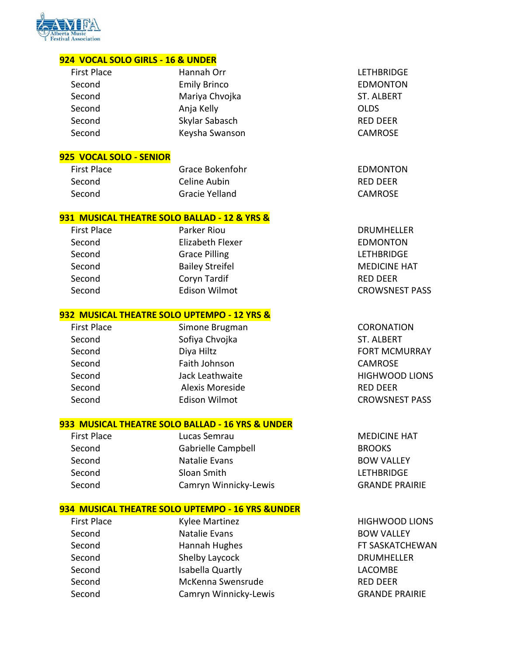

#### **924 VOCAL SOLO GIRLS - 16 & UNDER**

| <b>First Place</b> | Hannah Orr          | LETHBRID         |
|--------------------|---------------------|------------------|
| Second             | <b>Emily Brinco</b> | <b>EDMONT</b>    |
| Second             | Mariya Chvojka      | <b>ST. ALBER</b> |
| Second             | Anja Kelly          | <b>OLDS</b>      |
| Second             | Skylar Sabasch      | <b>RED DEER</b>  |
| Second             | Keysha Swanson      | <b>CAMROSE</b>   |
|                    |                     |                  |

#### **925 VOCAL SOLO - SENIOR**

First Place **EDMONTON** Grace Bokenfohr **EDMONTON** Second Celine Aubin Celine Aubin RED DEER Second Gracie Yelland Gracie Yelland CAMROSE

#### **931 MUSICAL THEATRE SOLO BALLAD - 12 & YRS &**

 First Place Parker Riou DRUMHELLER Second Elizabeth Flexer EDMONTON Second Grace Pilling Grace Contact Contact Contact Contact Contact Contact Contact Contact Contact Contact Contact Contact Contact Contact Contact Contact Contact Contact Contact Contact Contact Contact Contact Contact Con Second Bailey Streifel MEDICINE HAT Second **Coryn Tardif Community** Coryn Tardif RED DEER Second Edison Wilmot CROWSNEST PASS

#### **932 MUSICAL THEATRE SOLO UPTEMPO - 12 YRS &**

Second Sofiya Chvojka Sofiya ST. ALBERT Second Diya Hiltz Diya Hiltz FORT MCMURRAY Second Faith Johnson CAMROSE Second Jack Leathwaite HIGHWOOD LIONS Second Alexis Moreside Alexis Moreside RED DEER Second Edison Wilmot CROWSNEST PASS

First Place Simone Brugman CORONATION

#### **933 MUSICAL THEATRE SOLO BALLAD - 16 YRS & UNDER**

| <b>First Place</b> | Lucas Semrau          | <b>MEDICINE HAT</b>   |
|--------------------|-----------------------|-----------------------|
| Second             | Gabrielle Campbell    | <b>BROOKS</b>         |
| Second             | Natalie Evans         | <b>BOW VALLEY</b>     |
| Second             | Sloan Smith           | <b>LETHBRIDGE</b>     |
| Second             | Camryn Winnicky-Lewis | <b>GRANDE PRAIRIE</b> |
|                    |                       |                       |

#### **934 MUSICAL THEATRE SOLO UPTEMPO - 16 YRS &UNDER**

| <b>First Place</b> | <b>Kylee Martinez</b> | <b>HIGHWOO</b>   |
|--------------------|-----------------------|------------------|
| Second             | Natalie Evans         | <b>BOW VALI</b>  |
| Second             | Hannah Hughes         | <b>FT SASKAT</b> |
| Second             | Shelby Laycock        | <b>DRUMHEL</b>   |
| Second             | Isabella Quartly      | <b>LACOMBE</b>   |
| Second             | McKenna Swensrude     | <b>RED DEER</b>  |
| Second             | Camryn Winnicky-Lewis | <b>GRANDE P</b>  |

**LETHBRIDGE EDMONTON** ST. ALBERT n CAMROSE

**HIGHWOOD LIONS** BOW VALLEY FT SASKATCHEWAN DRUMHELLER **GRANDE PRAIRIE**